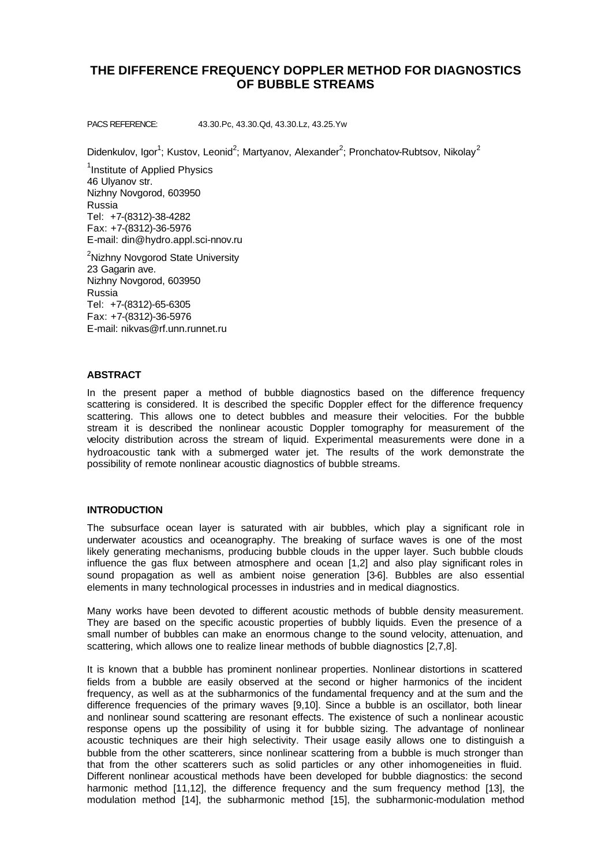# **THE DIFFERENCE FREQUENCY DOPPLER METHOD FOR DIAGNOSTICS OF BUBBLE STREAMS**

PACS REFERENCE: 43.30.Pc, 43.30.Qd, 43.30.Lz, 43.25.Yw

Didenkulov, Igor<sup>1</sup>; Kustov, Leonid<sup>2</sup>; Martyanov, Alexander<sup>2</sup>; Pronchatov-Rubtsov, Nikolay<sup>2</sup>

<sup>1</sup>Institute of Applied Physics 46 Ulyanov str. Nizhny Novgorod, 603950 Russia Tel: +7-(8312)-38-4282 Fax: +7-(8312)-36-5976 E-mail: din@hydro.appl.sci-nnov.ru

<sup>2</sup>Nizhny Novgorod State University 23 Gagarin ave. Nizhny Novgorod, 603950 Russia Tel: +7-(8312)-65-6305 Fax: +7-(8312)-36-5976 E-mail: nikvas@rf.unn.runnet.ru

## **ABSTRACT**

In the present paper a method of bubble diagnostics based on the difference frequency scattering is considered. It is described the specific Doppler effect for the difference frequency scattering. This allows one to detect bubbles and measure their velocities. For the bubble stream it is described the nonlinear acoustic Doppler tomography for measurement of the velocity distribution across the stream of liquid. Experimental measurements were done in a hydroacoustic tank with a submerged water jet. The results of the work demonstrate the possibility of remote nonlinear acoustic diagnostics of bubble streams.

## **INTRODUCTION**

The subsurface ocean layer is saturated with air bubbles, which play a significant role in underwater acoustics and oceanography. The breaking of surface waves is one of the most likely generating mechanisms, producing bubble clouds in the upper layer. Such bubble clouds influence the gas flux between atmosphere and ocean [1,2] and also play significant roles in sound propagation as well as ambient noise generation [3-6]. Bubbles are also essential elements in many technological processes in industries and in medical diagnostics.

Many works have been devoted to different acoustic methods of bubble density measurement. They are based on the specific acoustic properties of bubbly liquids. Even the presence of a small number of bubbles can make an enormous change to the sound velocity, attenuation, and scattering, which allows one to realize linear methods of bubble diagnostics [2,7,8].

It is known that a bubble has prominent nonlinear properties. Nonlinear distortions in scattered fields from a bubble are easily observed at the second or higher harmonics of the incident frequency, as well as at the subharmonics of the fundamental frequency and at the sum and the difference frequencies of the primary waves [9,10]. Since a bubble is an oscillator, both linear and nonlinear sound scattering are resonant effects. The existence of such a nonlinear acoustic response opens up the possibility of using it for bubble sizing. The advantage of nonlinear acoustic techniques are their high selectivity. Their usage easily allows one to distinguish a bubble from the other scatterers, since nonlinear scattering from a bubble is much stronger than that from the other scatterers such as solid particles or any other inhomogeneities in fluid. Different nonlinear acoustical methods have been developed for bubble diagnostics: the second harmonic method [11,12], the difference frequency and the sum frequency method [13], the modulation method [14], the subharmonic method [15], the subharmonic-modulation method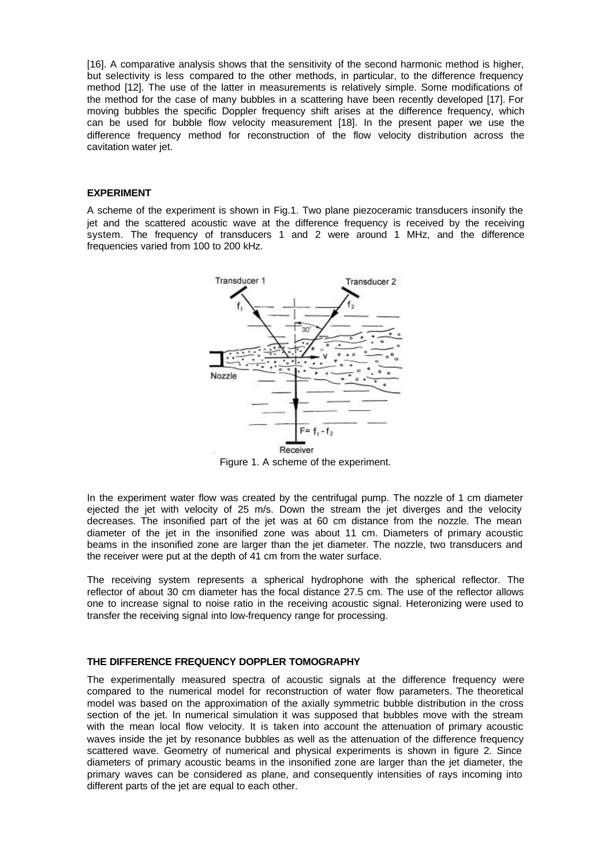[16]. A comparative analysis shows that the sensitivity of the second harmonic method is higher, but selectivity is less compared to the other methods, in particular, to the difference frequency method [12]. The use of the latter in measurements is relatively simple. Some modifications of the method for the case of many bubbles in a scattering have been recently developed [17]. For moving bubbles the specific Doppler frequency shift arises at the difference frequency, which can be used for bubble flow velocity measurement [18]. In the present paper we use the difference frequency method for reconstruction of the flow velocity distribution across the cavitation water jet.

## **EXPERIMENT**

A scheme of the experiment is shown in Fig.1. Two plane piezoceramic transducers insonify the jet and the scattered acoustic wave at the difference frequency is received by the receiving system. The frequency of transducers 1 and 2 were around 1 MHz, and the difference frequencies varied from 100 to 200 kHz.



Figure 1. A scheme of the experiment.

In the experiment water flow was created by the centrifugal pump. The nozzle of 1 cm diameter ejected the jet with velocity of 25 m/s. Down the stream the jet diverges and the velocity decreases. The insonified part of the jet was at 60 cm distance from the nozzle. The mean diameter of the jet in the insonified zone was about 11 cm. Diameters of primary acoustic beams in the insonified zone are larger than the jet diameter. The nozzle, two transducers and the receiver were put at the depth of 41 cm from the water surface.

The receiving system represents a spherical hydrophone with the spherical reflector. The reflector of about 30 cm diameter has the focal distance 27.5 cm. The use of the reflector allows one to increase signal to noise ratio in the receiving acoustic signal. Heteronizing were used to transfer the receiving signal into low-frequency range for processing.

### **THE DIFFERENCE FREQUENCY DOPPLER TOMOGRAPHY**

The experimentally measured spectra of acoustic signals at the difference frequency were compared to the numerical model for reconstruction of water flow parameters. The theoretical model was based on the approximation of the axially symmetric bubble distribution in the cross section of the jet. In numerical simulation it was supposed that bubbles move with the stream with the mean local flow velocity. It is taken into account the attenuation of primary acoustic waves inside the jet by resonance bubbles as well as the attenuation of the difference frequency scattered wave. Geometry of numerical and physical experiments is shown in figure 2. Since diameters of primary acoustic beams in the insonified zone are larger than the jet diameter, the primary waves can be considered as plane, and consequently intensities of rays incoming into different parts of the jet are equal to each other.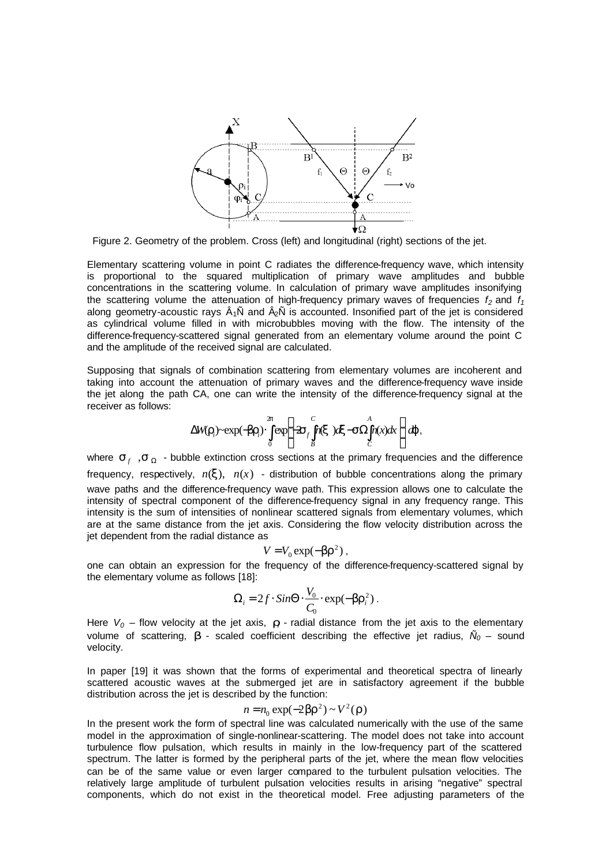

Figure 2. Geometry of the problem. Cross (left) and longitudinal (right) sections of the jet.

Elementary scattering volume in point C radiates the difference-frequency wave, which intensity is proportional to the squared multiplication of primary wave amplitudes and bubble concentrations in the scattering volume. In calculation of primary wave amplitudes insonifying the scattering volume the attenuation of high-frequency primary waves of frequencies  $f_2$  and  $f_1$ along geometry-acoustic rays  $\hat{A}_1\hat{N}$  and  $\hat{A}_2\hat{N}$  is accounted. Insonified part of the jet is considered as cylindrical volume filled in with microbubbles moving with the flow. The intensity of the difference-frequency-scattered signal generated from an elementary volume around the point C and the amplitude of the received signal are calculated.

Supposing that signals of combination scattering from elementary volumes are incoherent and taking into account the attenuation of primary waves and the difference-frequency wave inside the jet along the path CA, one can write the intensity of the difference-frequency signal at the receiver as follows:

$$
\Delta W(\boldsymbol{r}_i) \sim \exp(-\boldsymbol{b}\boldsymbol{r}_i) \cdot \int\limits_{0}^{2p} \exp\left[-2\boldsymbol{s}_f \int\limits_{B}^{C} n(\boldsymbol{x}) d\boldsymbol{x} - \boldsymbol{s} \Omega \int\limits_{C}^{A} n(\boldsymbol{x}) d\boldsymbol{x}\right] d\boldsymbol{j},
$$

where  $S_f$ ,  $S_o$  - bubble extinction cross sections at the primary frequencies and the difference frequency, respectively,  $n(x)$ ,  $n(x)$  - distribution of bubble concentrations along the primary wave paths and the difference-frequency wave path. This expression allows one to calculate the intensity of spectral component of the difference-frequency signal in any frequency range. This intensity is the sum of intensities of nonlinear scattered signals from elementary volumes, which are at the same distance from the jet axis. Considering the flow velocity distribution across the jet dependent from the radial distance as

$$
V = V_0 \exp(-\boldsymbol{b} \boldsymbol{r}^2) ,
$$

one can obtain an expression for the frequency of the difference-frequency-scattered signal by the elementary volume as follows [18]:

$$
\Omega_i = 2f \cdot \text{Sin}\Theta \cdot \frac{V_0}{C_0} \cdot \exp(-\bm{b} \bm{r}_i^2) \ .
$$

Here  $V_0$  – flow velocity at the jet axis,  $r_i$  - radial distance from the jet axis to the elementary volume of scattering,  $\boldsymbol{b}$  - scaled coefficient describing the effective jet radius,  $\tilde{N}_0$  – sound velocity.

In paper [19] it was shown that the forms of experimental and theoretical spectra of linearly scattered acoustic waves at the submerged jet are in satisfactory agreement if the bubble distribution across the jet is described by the function:

$$
n = n_0 \exp(-2\mathbf{b}r^2) \sim V^2(\mathbf{r})
$$

In the present work the form of spectral line was calculated numerically with the use of the same model in the approximation of single-nonlinear-scattering. The model does not take into account turbulence flow pulsation, which results in mainly in the low-frequency part of the scattered spectrum. The latter is formed by the peripheral parts of the jet, where the mean flow velocities can be of the same value or even larger compared to the turbulent pulsation velocities. The relatively large amplitude of turbulent pulsation velocities results in arising "negative" spectral components, which do not exist in the theoretical model. Free adjusting parameters of the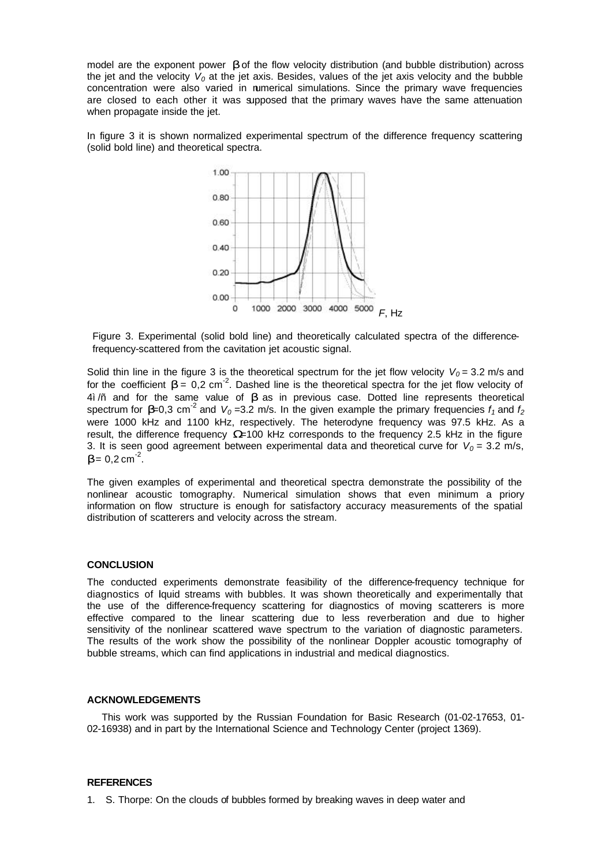model are the exponent power *b* of the flow velocity distribution (and bubble distribution) across the jet and the velocity *V0* at the jet axis. Besides, values of the jet axis velocity and the bubble concentration were also varied in numerical simulations. Since the primary wave frequencies are closed to each other it was supposed that the primary waves have the same attenuation when propagate inside the jet.

In figure 3 it is shown normalized experimental spectrum of the difference frequency scattering (solid bold line) and theoretical spectra.



Figure 3. Experimental (solid bold line) and theoretically calculated spectra of the differencefrequency-scattered from the cavitation jet acoustic signal.

Solid thin line in the figure 3 is the theoretical spectrum for the jet flow velocity  $V_0 = 3.2$  m/s and for the coefficient  $\bm{b} = [0, 2 \text{ cm}^{-2}]$ . Dashed line is the theoretical spectra for the jet flow velocity of 4ì/ñ and for the same value of *b* as in previous case. Dotted line represents theoretical spectrum for  $b$ =0,3 cm<sup>-2</sup> and  $V_0$ =3.2 m/s. In the given example the primary frequencies  $f_1$  and  $f_2$ were 1000 kHz and 1100 kHz, respectively. The heterodyne frequency was 97.5 kHz. As a result, the difference frequency *W*=100 kHz corresponds to the frequency 2.5 kHz in the figure 3. It is seen good agreement between experimental data and theoretical curve for  $V_0 = 3.2$  m/s,  $$ 

The given examples of experimental and theoretical spectra demonstrate the possibility of the nonlinear acoustic tomography. Numerical simulation shows that even minimum a priory information on flow structure is enough for satisfactory accuracy measurements of the spatial distribution of scatterers and velocity across the stream.

#### **CONCLUSION**

The conducted experiments demonstrate feasibility of the difference-frequency technique for diagnostics of lquid streams with bubbles. It was shown theoretically and experimentally that the use of the difference-frequency scattering for diagnostics of moving scatterers is more effective compared to the linear scattering due to less reverberation and due to higher sensitivity of the nonlinear scattered wave spectrum to the variation of diagnostic parameters. The results of the work show the possibility of the nonlinear Doppler acoustic tomography of bubble streams, which can find applications in industrial and medical diagnostics.

### **ACKNOWLEDGEMENTS**

This work was supported by the Russian Foundation for Basic Research (01-02-17653, 01- 02-16938) and in part by the International Science and Technology Center (project 1369).

#### **REFERENCES**

1. S. Thorpe: On the clouds of bubbles formed by breaking waves in deep water and